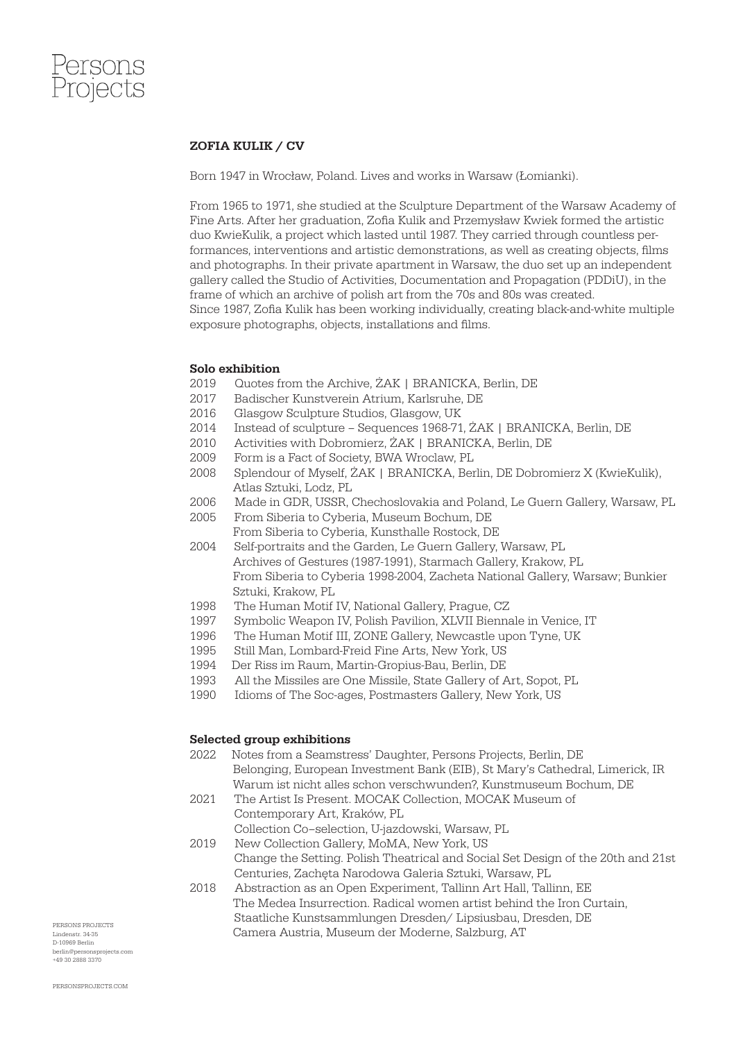

### ZOFIA KULIK / CV

Born 1947 in Wrocław, Poland. Lives and works in Warsaw (Łomianki).

From 1965 to 1971, she studied at the Sculpture Department of the Warsaw Academy of Fine Arts. After her graduation, Zofia Kulik and Przemysław Kwiek formed the artistic duo KwieKulik, a project which lasted until 1987. They carried through countless performances, interventions and artistic demonstrations, as well as creating objects, films and photographs. In their private apartment in Warsaw, the duo set up an independent gallery called the Studio of Activities, Documentation and Propagation (PDDiU), in the frame of which an archive of polish art from the 70s and 80s was created. Since 1987, Zofia Kulik has been working individually, creating black-and-white multiple exposure photographs, objects, installations and films.

#### Solo exhibition

- 2019 Quotes from the Archive, ŻAK | BRANICKA, Berlin, DE
- 2017 Badischer Kunstverein Atrium, Karlsruhe, DE
- 2016 Glasgow Sculpture Studios, Glasgow, UK
- 2014 Instead of sculpture Sequences 1968-71, ŻAK | BRANICKA, Berlin, DE
- 2010 Activities with Dobromierz, ŻAK | BRANICKA, Berlin, DE
- 2009 Form is a Fact of Society, BWA Wroclaw, PL
- 2008 Splendour of Myself, ŻAK | BRANICKA, Berlin, DE Dobromierz X (KwieKulik), Atlas Sztuki, Lodz, PL
- 2006 Made in GDR, USSR, Chechoslovakia and Poland, Le Guern Gallery, Warsaw, PL
- 2005 From Siberia to Cyberia, Museum Bochum, DE From Siberia to Cyberia, Kunsthalle Rostock, DE
- 2004 Self-portraits and the Garden, Le Guern Gallery, Warsaw, PL Archives of Gestures (1987-1991), Starmach Gallery, Krakow, PL From Siberia to Cyberia 1998-2004, Zacheta National Gallery, Warsaw; Bunkier Sztuki, Krakow, PL
- 1998 The Human Motif IV, National Gallery, Prague, CZ
- 1997 Symbolic Weapon IV, Polish Pavilion, XLVII Biennale in Venice, IT
- 1996 The Human Motif III, ZONE Gallery, Newcastle upon Tyne, UK
- 1995 Still Man, Lombard-Freid Fine Arts, New York, US
- 1994 Der Riss im Raum, Martin-Gropius-Bau, Berlin, DE
- 1993 All the Missiles are One Missile, State Gallery of Art, Sopot, PL
- 1990 Idioms of The Soc-ages, Postmasters Gallery, New York, US

#### Selected group exhibitions

- 2022 Notes from a Seamstress' Daughter, Persons Projects, Berlin, DE Belonging, European Investment Bank (EIB), St Mary's Cathedral, Limerick, IR Warum ist nicht alles schon verschwunden?, Kunstmuseum Bochum, DE
- 2021 The Artist Is Present. MOCAK Collection, MOCAK Museum of Contemporary Art, Kraków, PL

Collection Co–selection, U-jazdowski, Warsaw, PL

- 2019 New Collection Gallery, MoMA, New York, US Change the Setting. Polish Theatrical and Social Set Design of the 20th and 21st Centuries, Zachęta Narodowa Galeria Sztuki, Warsaw, PL
- 2018 Abstraction as an Open Experiment, Tallinn Art Hall, Tallinn, EE The Medea Insurrection. Radical women artist behind the Iron Curtain, Staatliche Kunstsammlungen Dresden/ Lipsiusbau, Dresden, DE Camera Austria, Museum der Moderne, Salzburg, AT

PERSONS PROJECTS Lindenstr. 34-35 D-10969 Berlin berlin@personsprojects.com +49 30 2888 3370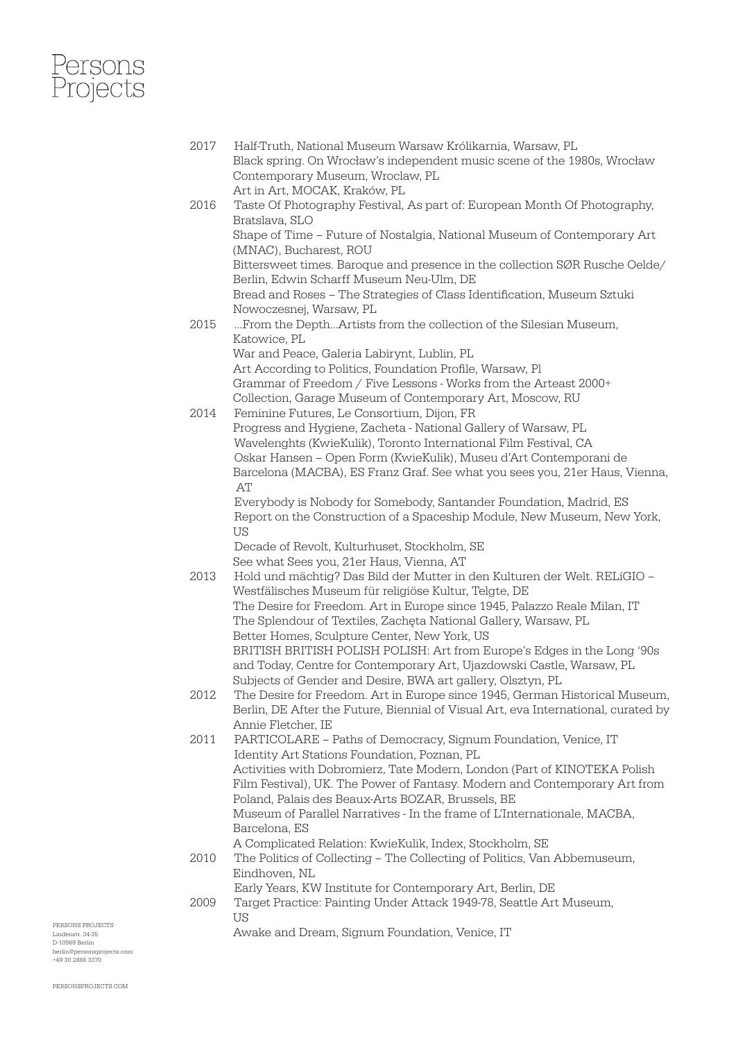# ersons<br>Projects

2017 Half-Truth, National Museum Warsaw Królikarnia, Warsaw, PL Black spring. On Wrocław's independent music scene of the 1980s, Wrocław Contemporary Museum, Wroclaw, PL

 Art in Art, MOCAK, Kraków, PL 2016 Taste Of Photography Festival, As part of: European Month Of Photography, Bratslava, SLO Shape of Time – Future of Nostalgia, National Museum of Contemporary Art (MNAC), Bucharest, ROU Bittersweet times. Baroque and presence in the collection SØR Rusche Oelde/ Berlin, Edwin Scharff Museum Neu-Ulm, DE Bread and Roses – The Strategies of Class Identification, Museum Sztuki Nowoczesnej, Warsaw, PL 2015 ...From the Depth...Artists from the collection of the Silesian Museum, Katowice, PL War and Peace, Galeria Labirynt, Lublin, PL Art According to Politics, Foundation Profile, Warsaw, Pl Grammar of Freedom / Five Lessons - Works from the Arteast 2000+ Collection, Garage Museum of Contemporary Art, Moscow, RU 2014 Feminine Futures, Le Consortium, Dijon, FR Progress and Hygiene, Zacheta - National Gallery of Warsaw, PL Wavelenghts (KwieKulik), Toronto International Film Festival, CA Oskar Hansen – Open Form (KwieKulik), Museu d'Art Contemporani de Barcelona (MACBA), ES Franz Graf. See what you sees you, 21er Haus, Vienna, AT Everybody is Nobody for Somebody, Santander Foundation, Madrid, ES Report on the Construction of a Spaceship Module, New Museum, New York, US Decade of Revolt, Kulturhuset, Stockholm, SE See what Sees you, 21er Haus, Vienna, AT 2013 Hold und mächtig? Das Bild der Mutter in den Kulturen der Welt. RELíGIO – Westfälisches Museum für religiöse Kultur, Telgte, DE The Desire for Freedom. Art in Europe since 1945, Palazzo Reale Milan, IT The Splendour of Textiles, Zachęta National Gallery, Warsaw, PL Better Homes, Sculpture Center, New York, US BRITISH BRITISH POLISH POLISH: Art from Europe's Edges in the Long '90s and Today, Centre for Contemporary Art, Ujazdowski Castle, Warsaw, PL

- Subjects of Gender and Desire, BWA art gallery, Olsztyn, PL 2012 The Desire for Freedom. Art in Europe since 1945, German Historical Museum,
- Berlin, DE After the Future, Biennial of Visual Art, eva International, curated by Annie Fletcher, IE
- 2011 PARTICOLARE Paths of Democracy, Signum Foundation, Venice, IT Identity Art Stations Foundation, Poznan, PL Activities with Dobromierz, Tate Modern, London (Part of KINOTEKA Polish Film Festival), UK. The Power of Fantasy. Modern and Contemporary Art from Poland, Palais des Beaux-Arts BOZAR, Brussels, BE Museum of Parallel Narratives - In the frame of L'Internationale, MACBA, Barcelona, ES A Complicated Relation: KwieKulik, Index, Stockholm, SE
- 2010 The Politics of Collecting The Collecting of Politics, Van Abbemuseum, Eindhoven, NL
	- Early Years, KW Institute for Contemporary Art, Berlin, DE
- 2009 Target Practice: Painting Under Attack 1949-78, Seattle Art Museum, **TTC**

Awake and Dream, Signum Foundation, Venice, IT

PERSONS PROJECTS Lindenstr. 34-35 D-10969 Berlin berlin@personsprojects.com +49 30 2888 3370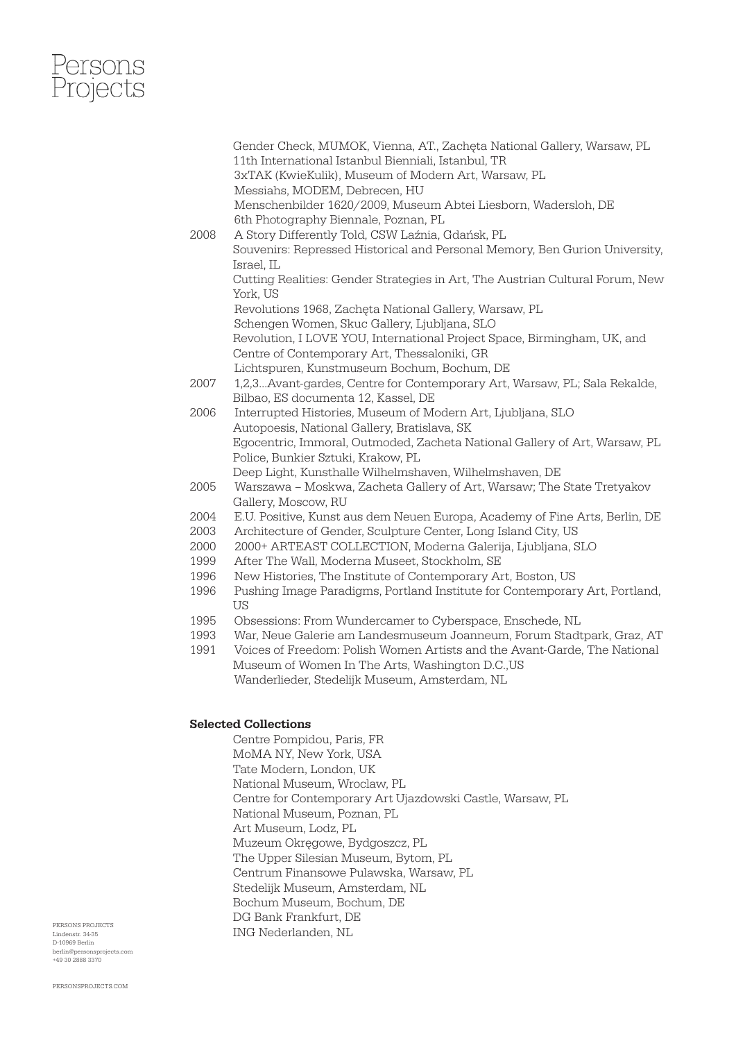## ersons<br>Projects

 Gender Check, MUMOK, Vienna, AT., Zachęta National Gallery, Warsaw, PL 11th International Istanbul Bienniali, Istanbul, TR 3xTAK (KwieKulik), Museum of Modern Art, Warsaw, PL Messiahs, MODEM, Debrecen, HU Menschenbilder 1620/2009, Museum Abtei Liesborn, Wadersloh, DE 6th Photography Biennale, Poznan, PL 2008 A Story Differently Told, CSW Laźnia, Gdańsk, PL Souvenirs: Repressed Historical and Personal Memory, Ben Gurion University, Israel, IL Cutting Realities: Gender Strategies in Art, The Austrian Cultural Forum, New York, US Revolutions 1968, Zachęta National Gallery, Warsaw, PL Schengen Women, Skuc Gallery, Ljubljana, SLO Revolution, I LOVE YOU, International Project Space, Birmingham, UK, and Centre of Contemporary Art, Thessaloniki, GR Lichtspuren, Kunstmuseum Bochum, Bochum, DE 2007 1,2,3…Avant-gardes, Centre for Contemporary Art, Warsaw, PL; Sala Rekalde, Bilbao, ES documenta 12, Kassel, DE 2006 Interrupted Histories, Museum of Modern Art, Ljubljana, SLO Autopoesis, National Gallery, Bratislava, SK Egocentric, Immoral, Outmoded, Zacheta National Gallery of Art, Warsaw, PL Police, Bunkier Sztuki, Krakow, PL Deep Light, Kunsthalle Wilhelmshaven, Wilhelmshaven, DE 2005 Warszawa – Moskwa, Zacheta Gallery of Art, Warsaw; The State Tretyakov Gallery, Moscow, RU 2004 E.U. Positive, Kunst aus dem Neuen Europa, Academy of Fine Arts, Berlin, DE 2003 Architecture of Gender, Sculpture Center, Long Island City, US 2000 2000+ ARTEAST COLLECTION, Moderna Galerija, Ljubljana, SLO 1999 After The Wall, Moderna Museet, Stockholm, SE 1996 New Histories, The Institute of Contemporary Art, Boston, US 1996 Pushing Image Paradigms, Portland Institute for Contemporary Art, Portland, **TIS** 1995 Obsessions: From Wundercamer to Cyberspace, Enschede, NL 1993 War, Neue Galerie am Landesmuseum Joanneum, Forum Stadtpark, Graz, AT 1991 Voices of Freedom: Polish Women Artists and the Avant-Garde, The National Museum of Women In The Arts, Washington D.C.,US Wanderlieder, Stedelijk Museum, Amsterdam, NL Selected Collections Centre Pompidou, Paris, FR MoMA NY, New York, USA Tate Modern, London, UK National Museum, Wroclaw, PL Centre for Contemporary Art Ujazdowski Castle, Warsaw, PL National Museum, Poznan, PL Art Museum, Lodz, PL Muzeum Okręgowe, Bydgoszcz, PL The Upper Silesian Museum, Bytom, PL

Centrum Finansowe Pulawska, Warsaw, PL

- Stedelijk Museum, Amsterdam, NL
- Bochum Museum, Bochum, DE
- DG Bank Frankfurt, DE
- ING Nederlanden, NL

PERSONS PROJECTS Lindenstr. 34-35 D-10969 Berlin berlin@personsprojects.com +49 30 2888 3370